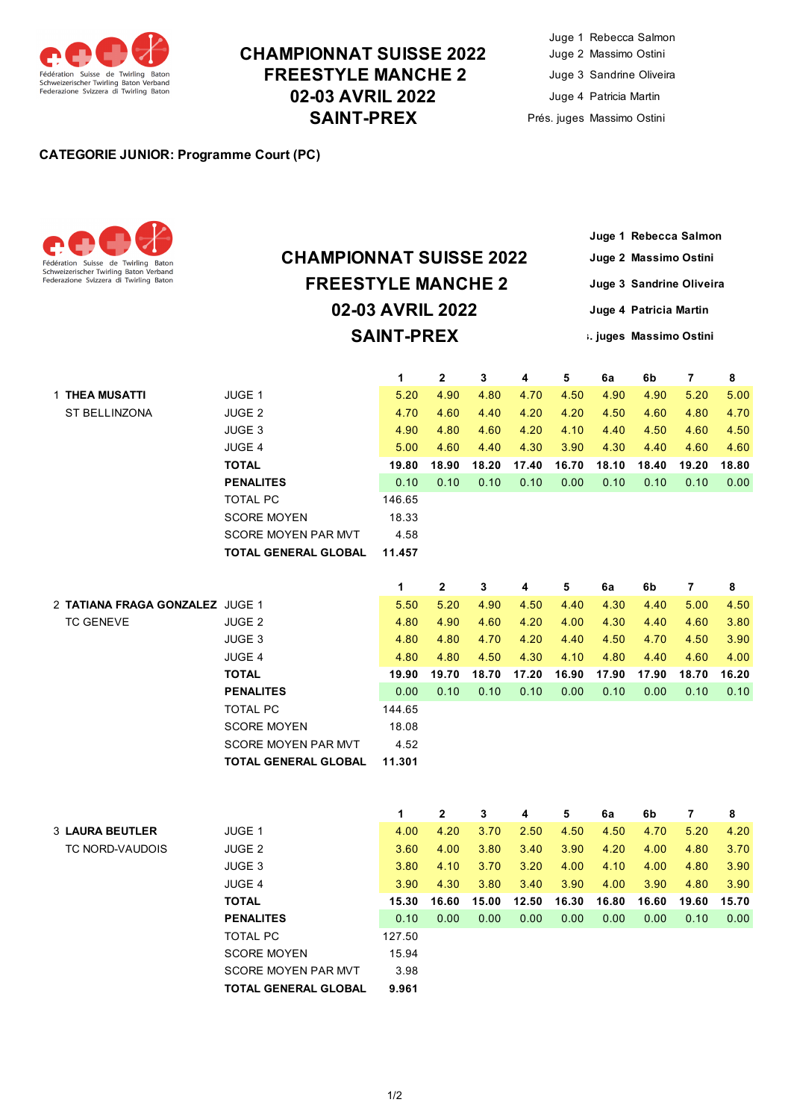

### **CHAMPIONNAT SUISSE 2022 FREESTYLE MANCHE 2 02-03 AVRIL 2022 SAINT-PREX**

#### **CATEGORIE JUNIOR: Programme Court (PC)**



# **02-03 AVRIL 2022 SAINT-PREX CHAMPIONNAT SUISSE 2022 FREESTYLE MANCHE 2**

**Juge 1 Rebecca Salmon Juge 2 Massimo Ostini Juge 3 Sandrine Oliveira Juge 4 Patricia Martin Prés. juges Massimo Ostini**

|                                 |                             | 1      | 2     | 3     | 4     | 5     | 6a    | 6b    | 7              | 8     |
|---------------------------------|-----------------------------|--------|-------|-------|-------|-------|-------|-------|----------------|-------|
| 1 THEA MUSATTI                  | JUGE 1                      | 5.20   | 4.90  | 4.80  | 4.70  | 4.50  | 4.90  | 4.90  | 5.20           | 5.00  |
| ST BELLINZONA                   | JUGE <sub>2</sub>           | 4.70   | 4.60  | 4.40  | 4.20  | 4.20  | 4.50  | 4.60  | 4.80           | 4.70  |
|                                 | JUGE 3                      | 4.90   | 4.80  | 4.60  | 4.20  | 4.10  | 4.40  | 4.50  | 4.60           | 4.50  |
|                                 | JUGE 4                      | 5.00   | 4.60  | 4.40  | 4.30  | 3.90  | 4.30  | 4.40  | 4.60           | 4.60  |
|                                 | <b>TOTAL</b>                | 19.80  | 18.90 | 18.20 | 17.40 | 16.70 | 18.10 | 18.40 | 19.20          | 18.80 |
|                                 | <b>PENALITES</b>            | 0.10   | 0.10  | 0.10  | 0.10  | 0.00  | 0.10  | 0.10  | 0.10           | 0.00  |
|                                 | <b>TOTAL PC</b>             | 146.65 |       |       |       |       |       |       |                |       |
|                                 | <b>SCORE MOYEN</b>          | 18.33  |       |       |       |       |       |       |                |       |
|                                 | SCORE MOYEN PAR MVT         | 4.58   |       |       |       |       |       |       |                |       |
|                                 | <b>TOTAL GENERAL GLOBAL</b> | 11.457 |       |       |       |       |       |       |                |       |
|                                 |                             |        |       |       |       |       |       |       |                |       |
|                                 |                             | 1      | 2     | 3     | 4     | 5     | 6a    | 6b    | $\overline{7}$ | 8     |
| 2 TATIANA FRAGA GONZALEZ JUGE 1 |                             | 5.50   | 5.20  | 4.90  | 4.50  | 4.40  | 4.30  | 4.40  | 5.00           | 4.50  |
| <b>TC GENEVE</b>                | JUGE <sub>2</sub>           | 4.80   | 4.90  | 4.60  | 4.20  | 4.00  | 4.30  | 4.40  | 4.60           | 3.80  |
|                                 | JUGE 3                      | 4.80   | 4.80  | 4.70  | 4.20  | 4.40  | 4.50  | 4.70  | 4.50           | 3.90  |
|                                 | JUGE 4                      | 4.80   | 4.80  | 4.50  | 4.30  | 4.10  | 4.80  | 4.40  | 4.60           | 4.00  |
|                                 | <b>TOTAL</b>                | 19.90  | 19.70 | 18.70 | 17.20 | 16.90 | 17.90 | 17.90 | 18.70          | 16.20 |
|                                 | <b>PENALITES</b>            | 0.00   | 0.10  | 0.10  | 0.10  | 0.00  | 0.10  | 0.00  | 0.10           | 0.10  |
|                                 | <b>TOTAL PC</b>             | 144.65 |       |       |       |       |       |       |                |       |
|                                 | <b>SCORE MOYEN</b>          | 18.08  |       |       |       |       |       |       |                |       |
|                                 | <b>SCORE MOYEN PAR MVT</b>  | 4.52   |       |       |       |       |       |       |                |       |
|                                 | <b>TOTAL GENERAL GLOBAL</b> | 11.301 |       |       |       |       |       |       |                |       |
|                                 |                             |        |       |       |       |       |       |       |                |       |
|                                 |                             |        |       |       |       |       |       |       |                |       |
|                                 |                             | 1      | 2     | 3     | 4     | 5     | 6a    | 6b    | 7              | 8     |
| <b>3 LAURA BEUTLER</b>          | JUGE 1                      | 4.00   | 4.20  | 3.70  | 2.50  | 4.50  | 4.50  | 4.70  | 5.20           | 4.20  |
| TC NORD-VAUDOIS                 | JUGE <sub>2</sub>           | 3.60   | 4.00  | 3.80  | 3.40  | 3.90  | 4.20  | 4.00  | 4.80           | 3.70  |
|                                 | JUGE 3                      | 3.80   | 4.10  | 3.70  | 3.20  | 4.00  | 4.10  | 4.00  | 4.80           | 3.90  |
|                                 | <b>JUGE 4</b>               | 3.90   | 4.30  | 3.80  | 3.40  | 3.90  | 4.00  | 3.90  | 4.80           | 3.90  |
|                                 | <b>TOTAL</b>                | 15.30  | 16.60 | 15.00 | 12.50 | 16.30 | 16.80 | 16.60 | 19.60          | 15.70 |
|                                 | <b>PENALITES</b>            | 0.10   | 0.00  | 0.00  | 0.00  | 0.00  | 0.00  | 0.00  | 0.10           | 0.00  |
|                                 | <b>TOTAL PC</b>             | 127.50 |       |       |       |       |       |       |                |       |
|                                 | <b>SCORE MOYEN</b>          | 15.94  |       |       |       |       |       |       |                |       |
|                                 | SCORE MOYEN PAR MVT         | 3.98   |       |       |       |       |       |       |                |       |
|                                 | <b>TOTAL GENERAL GLOBAL</b> | 9.961  |       |       |       |       |       |       |                |       |
|                                 |                             |        |       |       |       |       |       |       |                |       |